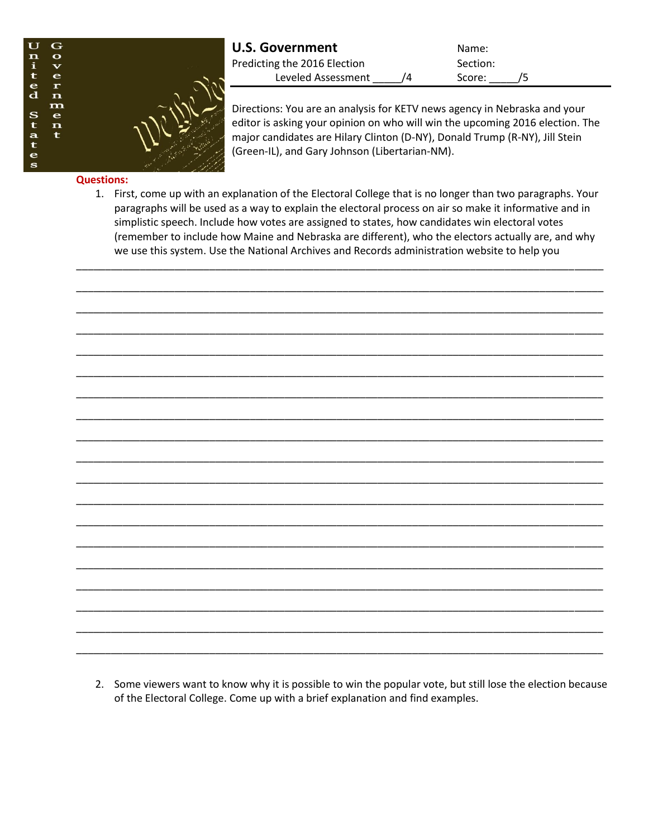

| <b>U.S. Government</b>       | Name:    |
|------------------------------|----------|
| Predicting the 2016 Election | Section: |
| Leveled Assessment           | Score:   |

Directions: You are an analysis for KETV news agency in Nebraska and your editor is asking your opinion on who will win the upcoming 2016 election. The major candidates are Hilary Clinton (D-NY), Donald Trump (R-NY), Jill Stein (Green-IL), and Gary Johnson (Libertarian-NM).

## **Questions:**

1. First, come up with an explanation of the Electoral College that is no longer than two paragraphs. Your paragraphs will be used as a way to explain the electoral process on air so make it informative and in simplistic speech. Include how votes are assigned to states, how candidates win electoral votes (remember to include how Maine and Nebraska are different), who the electors actually are, and why we use this system. Use the National Archives and Records administration website to help you

\_\_\_\_\_\_\_\_\_\_\_\_\_\_\_\_\_\_\_\_\_\_\_\_\_\_\_\_\_\_\_\_\_\_\_\_\_\_\_\_\_\_\_\_\_\_\_\_\_\_\_\_\_\_\_\_\_\_\_\_\_\_\_\_\_\_\_\_\_\_\_\_\_\_\_\_\_\_\_\_\_\_\_\_\_\_\_\_\_\_\_

\_\_\_\_\_\_\_\_\_\_\_\_\_\_\_\_\_\_\_\_\_\_\_\_\_\_\_\_\_\_\_\_\_\_\_\_\_\_\_\_\_\_\_\_\_\_\_\_\_\_\_\_\_\_\_\_\_\_\_\_\_\_\_\_\_\_\_\_\_\_\_\_\_\_\_\_\_\_\_\_\_\_\_\_\_\_\_\_\_\_\_

\_\_\_\_\_\_\_\_\_\_\_\_\_\_\_\_\_\_\_\_\_\_\_\_\_\_\_\_\_\_\_\_\_\_\_\_\_\_\_\_\_\_\_\_\_\_\_\_\_\_\_\_\_\_\_\_\_\_\_\_\_\_\_\_\_\_\_\_\_\_\_\_\_\_\_\_\_\_\_\_\_\_\_\_\_\_\_\_\_\_\_

\_\_\_\_\_\_\_\_\_\_\_\_\_\_\_\_\_\_\_\_\_\_\_\_\_\_\_\_\_\_\_\_\_\_\_\_\_\_\_\_\_\_\_\_\_\_\_\_\_\_\_\_\_\_\_\_\_\_\_\_\_\_\_\_\_\_\_\_\_\_\_\_\_\_\_\_\_\_\_\_\_\_\_\_\_\_\_\_\_\_\_

\_\_\_\_\_\_\_\_\_\_\_\_\_\_\_\_\_\_\_\_\_\_\_\_\_\_\_\_\_\_\_\_\_\_\_\_\_\_\_\_\_\_\_\_\_\_\_\_\_\_\_\_\_\_\_\_\_\_\_\_\_\_\_\_\_\_\_\_\_\_\_\_\_\_\_\_\_\_\_\_\_\_\_\_\_\_\_\_\_\_\_

\_\_\_\_\_\_\_\_\_\_\_\_\_\_\_\_\_\_\_\_\_\_\_\_\_\_\_\_\_\_\_\_\_\_\_\_\_\_\_\_\_\_\_\_\_\_\_\_\_\_\_\_\_\_\_\_\_\_\_\_\_\_\_\_\_\_\_\_\_\_\_\_\_\_\_\_\_\_\_\_\_\_\_\_\_\_\_\_\_\_\_

\_\_\_\_\_\_\_\_\_\_\_\_\_\_\_\_\_\_\_\_\_\_\_\_\_\_\_\_\_\_\_\_\_\_\_\_\_\_\_\_\_\_\_\_\_\_\_\_\_\_\_\_\_\_\_\_\_\_\_\_\_\_\_\_\_\_\_\_\_\_\_\_\_\_\_\_\_\_\_\_\_\_\_\_\_\_\_\_\_\_\_

\_\_\_\_\_\_\_\_\_\_\_\_\_\_\_\_\_\_\_\_\_\_\_\_\_\_\_\_\_\_\_\_\_\_\_\_\_\_\_\_\_\_\_\_\_\_\_\_\_\_\_\_\_\_\_\_\_\_\_\_\_\_\_\_\_\_\_\_\_\_\_\_\_\_\_\_\_\_\_\_\_\_\_\_\_\_\_\_\_\_\_

\_\_\_\_\_\_\_\_\_\_\_\_\_\_\_\_\_\_\_\_\_\_\_\_\_\_\_\_\_\_\_\_\_\_\_\_\_\_\_\_\_\_\_\_\_\_\_\_\_\_\_\_\_\_\_\_\_\_\_\_\_\_\_\_\_\_\_\_\_\_\_\_\_\_\_\_\_\_\_\_\_\_\_\_\_\_\_\_\_\_\_

\_\_\_\_\_\_\_\_\_\_\_\_\_\_\_\_\_\_\_\_\_\_\_\_\_\_\_\_\_\_\_\_\_\_\_\_\_\_\_\_\_\_\_\_\_\_\_\_\_\_\_\_\_\_\_\_\_\_\_\_\_\_\_\_\_\_\_\_\_\_\_\_\_\_\_\_\_\_\_\_\_\_\_\_\_\_\_\_\_\_\_

\_\_\_\_\_\_\_\_\_\_\_\_\_\_\_\_\_\_\_\_\_\_\_\_\_\_\_\_\_\_\_\_\_\_\_\_\_\_\_\_\_\_\_\_\_\_\_\_\_\_\_\_\_\_\_\_\_\_\_\_\_\_\_\_\_\_\_\_\_\_\_\_\_\_\_\_\_\_\_\_\_\_\_\_\_\_\_\_\_\_\_

\_\_\_\_\_\_\_\_\_\_\_\_\_\_\_\_\_\_\_\_\_\_\_\_\_\_\_\_\_\_\_\_\_\_\_\_\_\_\_\_\_\_\_\_\_\_\_\_\_\_\_\_\_\_\_\_\_\_\_\_\_\_\_\_\_\_\_\_\_\_\_\_\_\_\_\_\_\_\_\_\_\_\_\_\_\_\_\_\_\_\_

\_\_\_\_\_\_\_\_\_\_\_\_\_\_\_\_\_\_\_\_\_\_\_\_\_\_\_\_\_\_\_\_\_\_\_\_\_\_\_\_\_\_\_\_\_\_\_\_\_\_\_\_\_\_\_\_\_\_\_\_\_\_\_\_\_\_\_\_\_\_\_\_\_\_\_\_\_\_\_\_\_\_\_\_\_\_\_\_\_\_\_

\_\_\_\_\_\_\_\_\_\_\_\_\_\_\_\_\_\_\_\_\_\_\_\_\_\_\_\_\_\_\_\_\_\_\_\_\_\_\_\_\_\_\_\_\_\_\_\_\_\_\_\_\_\_\_\_\_\_\_\_\_\_\_\_\_\_\_\_\_\_\_\_\_\_\_\_\_\_\_\_\_\_\_\_\_\_\_\_\_\_\_

\_\_\_\_\_\_\_\_\_\_\_\_\_\_\_\_\_\_\_\_\_\_\_\_\_\_\_\_\_\_\_\_\_\_\_\_\_\_\_\_\_\_\_\_\_\_\_\_\_\_\_\_\_\_\_\_\_\_\_\_\_\_\_\_\_\_\_\_\_\_\_\_\_\_\_\_\_\_\_\_\_\_\_\_\_\_\_\_\_\_\_

\_\_\_\_\_\_\_\_\_\_\_\_\_\_\_\_\_\_\_\_\_\_\_\_\_\_\_\_\_\_\_\_\_\_\_\_\_\_\_\_\_\_\_\_\_\_\_\_\_\_\_\_\_\_\_\_\_\_\_\_\_\_\_\_\_\_\_\_\_\_\_\_\_\_\_\_\_\_\_\_\_\_\_\_\_\_\_\_\_\_\_

\_\_\_\_\_\_\_\_\_\_\_\_\_\_\_\_\_\_\_\_\_\_\_\_\_\_\_\_\_\_\_\_\_\_\_\_\_\_\_\_\_\_\_\_\_\_\_\_\_\_\_\_\_\_\_\_\_\_\_\_\_\_\_\_\_\_\_\_\_\_\_\_\_\_\_\_\_\_\_\_\_\_\_\_\_\_\_\_\_\_\_

\_\_\_\_\_\_\_\_\_\_\_\_\_\_\_\_\_\_\_\_\_\_\_\_\_\_\_\_\_\_\_\_\_\_\_\_\_\_\_\_\_\_\_\_\_\_\_\_\_\_\_\_\_\_\_\_\_\_\_\_\_\_\_\_\_\_\_\_\_\_\_\_\_\_\_\_\_\_\_\_\_\_\_\_\_\_\_\_\_\_\_

\_\_\_\_\_\_\_\_\_\_\_\_\_\_\_\_\_\_\_\_\_\_\_\_\_\_\_\_\_\_\_\_\_\_\_\_\_\_\_\_\_\_\_\_\_\_\_\_\_\_\_\_\_\_\_\_\_\_\_\_\_\_\_\_\_\_\_\_\_\_\_\_\_\_\_\_\_\_\_\_\_\_\_\_\_\_\_\_\_\_\_

2. Some viewers want to know why it is possible to win the popular vote, but still lose the election because of the Electoral College. Come up with a brief explanation and find examples.